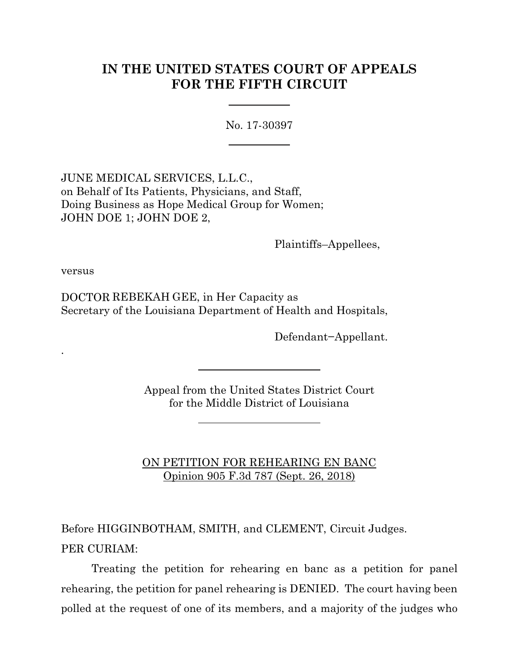# **IN THE UNITED STATES COURT OF APPEALS FOR THE FIFTH CIRCUIT**

No. 17-30397

JUNE MEDICAL SERVICES, L.L.C., on Behalf of Its Patients, Physicians, and Staff, Doing Business as Hope Medical Group for Women; JOHN DOE 1; JOHN DOE 2,

Plaintiffs–Appellees,

versus

.

DOCTOR REBEKAH GEE, in Her Capacity as Secretary of the Louisiana Department of Health and Hospitals,

Defendant−Appellant.

Appeal from the United States District Court for the Middle District of Louisiana

ON PETITION FOR REHEARING EN BANC Opinion 905 F.3d 787 (Sept. 26, 2018)

Before HIGGINBOTHAM, SMITH, and CLEMENT, Circuit Judges. PER CURIAM:

Treating the petition for rehearing en banc as a petition for panel rehearing, the petition for panel rehearing is DENIED. The court having been polled at the request of one of its members, and a majority of the judges who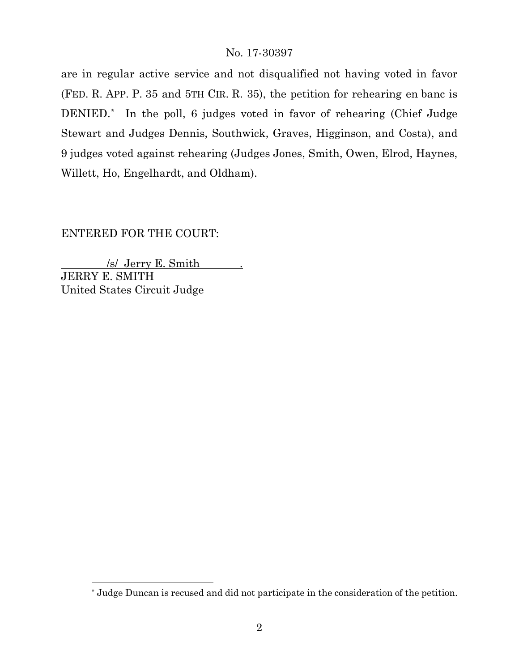are in regular active service and not disqualified not having voted in favor (FED. R. APP. P. 35 and 5TH CIR. R. 35), the petition for rehearing en banc is DENIED.[\\*](#page-1-0) In the poll, 6 judges voted in favor of rehearing (Chief Judge Stewart and Judges Dennis, Southwick, Graves, Higginson, and Costa), and 9 judges voted against rehearing (Judges Jones, Smith, Owen, Elrod, Haynes, Willett, Ho, Engelhardt, and Oldham).

# ENTERED FOR THE COURT:

 $\overline{a}$ 

 /s/ Jerry E. Smith . JERRY E. SMITH United States Circuit Judge

<span id="page-1-0"></span><sup>\*</sup> Judge Duncan is recused and did not participate in the consideration of the petition.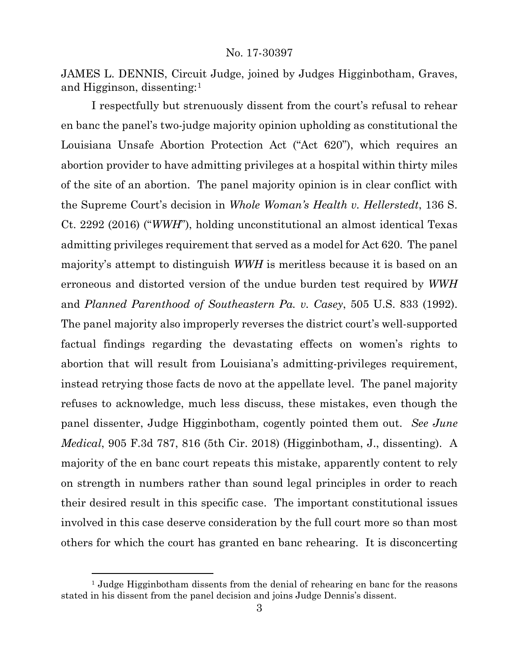JAMES L. DENNIS, Circuit Judge, joined by Judges Higginbotham, Graves, and Higginson, dissenting:[1](#page-2-0)

I respectfully but strenuously dissent from the court's refusal to rehear en banc the panel's two-judge majority opinion upholding as constitutional the Louisiana Unsafe Abortion Protection Act ("Act 620"), which requires an abortion provider to have admitting privileges at a hospital within thirty miles of the site of an abortion. The panel majority opinion is in clear conflict with the Supreme Court's decision in *Whole Woman's Health v. Hellerstedt*, 136 S. Ct. 2292 (2016) ("*WWH*"), holding unconstitutional an almost identical Texas admitting privileges requirement that served as a model for Act 620. The panel majority's attempt to distinguish *WWH* is meritless because it is based on an erroneous and distorted version of the undue burden test required by *WWH*  and *Planned Parenthood of Southeastern Pa. v. Casey*, 505 U.S. 833 (1992). The panel majority also improperly reverses the district court's well-supported factual findings regarding the devastating effects on women's rights to abortion that will result from Louisiana's admitting-privileges requirement, instead retrying those facts de novo at the appellate level. The panel majority refuses to acknowledge, much less discuss, these mistakes, even though the panel dissenter, Judge Higginbotham, cogently pointed them out. *See June Medical*, 905 F.3d 787, 816 (5th Cir. 2018) (Higginbotham, J., dissenting). A majority of the en banc court repeats this mistake, apparently content to rely on strength in numbers rather than sound legal principles in order to reach their desired result in this specific case. The important constitutional issues involved in this case deserve consideration by the full court more so than most others for which the court has granted en banc rehearing. It is disconcerting

<span id="page-2-0"></span><sup>&</sup>lt;sup>1</sup> Judge Higginbotham dissents from the denial of rehearing en banc for the reasons stated in his dissent from the panel decision and joins Judge Dennis's dissent.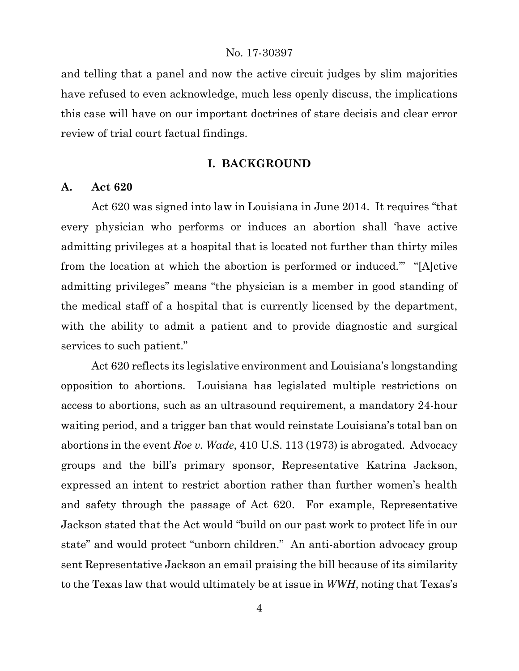and telling that a panel and now the active circuit judges by slim majorities have refused to even acknowledge, much less openly discuss, the implications this case will have on our important doctrines of stare decisis and clear error review of trial court factual findings.

## **I. BACKGROUND**

## **A. Act 620**

Act 620 was signed into law in Louisiana in June 2014. It requires "that every physician who performs or induces an abortion shall 'have active admitting privileges at a hospital that is located not further than thirty miles from the location at which the abortion is performed or induced.'" "[A]ctive admitting privileges" means "the physician is a member in good standing of the medical staff of a hospital that is currently licensed by the department, with the ability to admit a patient and to provide diagnostic and surgical services to such patient."

Act 620 reflects its legislative environment and Louisiana's longstanding opposition to abortions. Louisiana has legislated multiple restrictions on access to abortions, such as an ultrasound requirement, a mandatory 24-hour waiting period, and a trigger ban that would reinstate Louisiana's total ban on abortions in the event *Roe v. Wade*, 410 U.S. 113 (1973) is abrogated. Advocacy groups and the bill's primary sponsor, Representative Katrina Jackson, expressed an intent to restrict abortion rather than further women's health and safety through the passage of Act 620. For example, Representative Jackson stated that the Act would "build on our past work to protect life in our state" and would protect "unborn children." An anti-abortion advocacy group sent Representative Jackson an email praising the bill because of its similarity to the Texas law that would ultimately be at issue in *WWH*, noting that Texas's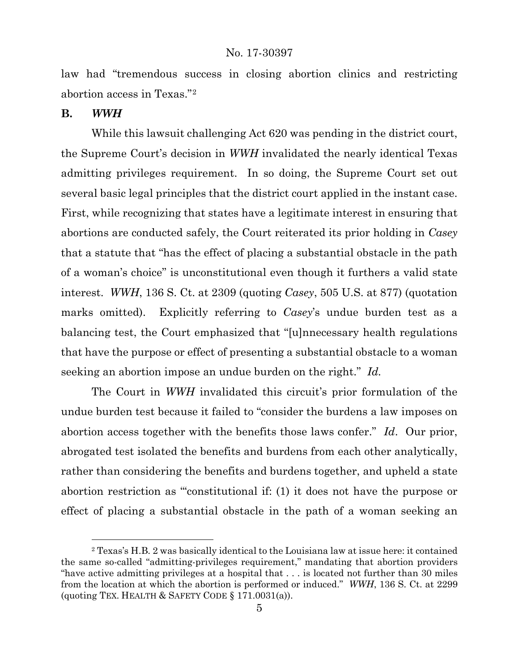law had "tremendous success in closing abortion clinics and restricting abortion access in Texas."[2](#page-4-0) 

## **B.** *WWH*

 $\overline{a}$ 

While this lawsuit challenging Act 620 was pending in the district court, the Supreme Court's decision in *WWH* invalidated the nearly identical Texas admitting privileges requirement. In so doing, the Supreme Court set out several basic legal principles that the district court applied in the instant case. First, while recognizing that states have a legitimate interest in ensuring that abortions are conducted safely, the Court reiterated its prior holding in *Casey* that a statute that "has the effect of placing a substantial obstacle in the path of a woman's choice" is unconstitutional even though it furthers a valid state interest. *WWH*, 136 S. Ct. at 2309 (quoting *Casey*, 505 U.S. at 877) (quotation marks omitted). Explicitly referring to *Casey*'s undue burden test as a balancing test, the Court emphasized that "[u]nnecessary health regulations that have the purpose or effect of presenting a substantial obstacle to a woman seeking an abortion impose an undue burden on the right." *Id.* 

The Court in *WWH* invalidated this circuit's prior formulation of the undue burden test because it failed to "consider the burdens a law imposes on abortion access together with the benefits those laws confer." *Id*. Our prior, abrogated test isolated the benefits and burdens from each other analytically, rather than considering the benefits and burdens together, and upheld a state abortion restriction as "'constitutional if: (1) it does not have the purpose or effect of placing a substantial obstacle in the path of a woman seeking an

<span id="page-4-0"></span><sup>2</sup> Texas's H.B. 2 was basically identical to the Louisiana law at issue here: it contained the same so-called "admitting-privileges requirement," mandating that abortion providers "have active admitting privileges at a hospital that . . . is located not further than 30 miles from the location at which the abortion is performed or induced." *WWH*, 136 S. Ct. at 2299 (quoting TEX. HEALTH & SAFETY CODE § 171.0031(a)).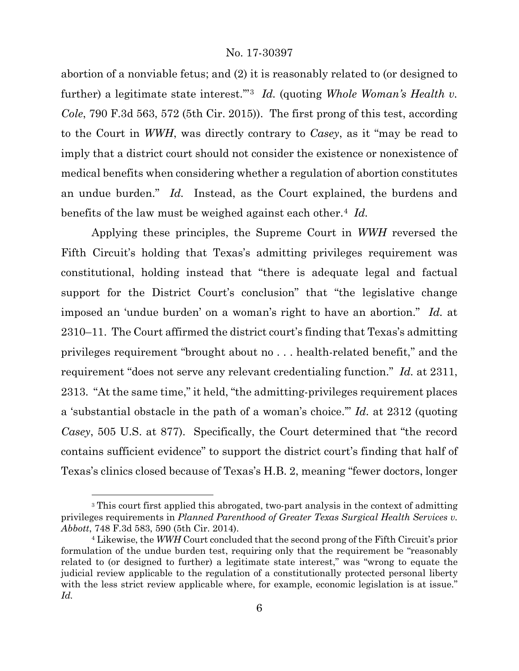abortion of a nonviable fetus; and (2) it is reasonably related to (or designed to further) a legitimate state interest.'"[3](#page-5-0) *Id.* (quoting *Whole Woman's Health v. Cole*, 790 F.3d 563, 572 (5th Cir. 2015)). The first prong of this test, according to the Court in *WWH*, was directly contrary to *Casey*, as it "may be read to imply that a district court should not consider the existence or nonexistence of medical benefits when considering whether a regulation of abortion constitutes an undue burden." *Id.* Instead, as the Court explained, the burdens and benefits of the law must be weighed against each other.[4](#page-5-1) *Id.*

Applying these principles, the Supreme Court in *WWH* reversed the Fifth Circuit's holding that Texas's admitting privileges requirement was constitutional, holding instead that "there is adequate legal and factual support for the District Court's conclusion" that "the legislative change imposed an 'undue burden' on a woman's right to have an abortion." *Id.* at 2310–11. The Court affirmed the district court's finding that Texas's admitting privileges requirement "brought about no . . . health-related benefit," and the requirement "does not serve any relevant credentialing function." *Id.* at 2311, 2313. "At the same time," it held, "the admitting-privileges requirement places a 'substantial obstacle in the path of a woman's choice.'" *Id.* at 2312 (quoting *Casey*, 505 U.S. at 877). Specifically, the Court determined that "the record contains sufficient evidence" to support the district court's finding that half of Texas's clinics closed because of Texas's H.B. 2, meaning "fewer doctors, longer

<span id="page-5-0"></span><sup>&</sup>lt;sup>3</sup> This court first applied this abrogated, two-part analysis in the context of admitting privileges requirements in *Planned Parenthood of Greater Texas Surgical Health Services v. Abbott*, 748 F.3d 583, 590 (5th Cir. 2014).

<span id="page-5-1"></span><sup>4</sup> Likewise, the *WWH* Court concluded that the second prong of the Fifth Circuit's prior formulation of the undue burden test, requiring only that the requirement be "reasonably related to (or designed to further) a legitimate state interest," was "wrong to equate the judicial review applicable to the regulation of a constitutionally protected personal liberty with the less strict review applicable where, for example, economic legislation is at issue." *Id.*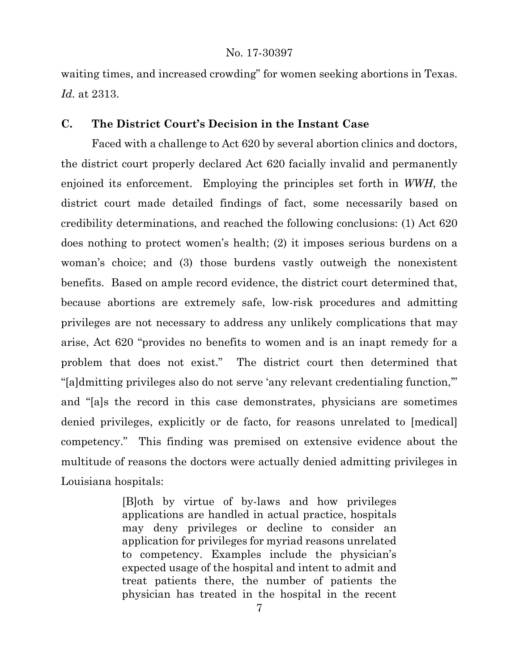waiting times, and increased crowding" for women seeking abortions in Texas. *Id.* at 2313.

## **C. The District Court's Decision in the Instant Case**

Faced with a challenge to Act 620 by several abortion clinics and doctors, the district court properly declared Act 620 facially invalid and permanently enjoined its enforcement. Employing the principles set forth in *WWH*, the district court made detailed findings of fact, some necessarily based on credibility determinations, and reached the following conclusions: (1) Act 620 does nothing to protect women's health; (2) it imposes serious burdens on a woman's choice; and (3) those burdens vastly outweigh the nonexistent benefits. Based on ample record evidence, the district court determined that, because abortions are extremely safe, low-risk procedures and admitting privileges are not necessary to address any unlikely complications that may arise, Act 620 "provides no benefits to women and is an inapt remedy for a problem that does not exist." The district court then determined that "[a]dmitting privileges also do not serve 'any relevant credentialing function,'" and "[a]s the record in this case demonstrates, physicians are sometimes denied privileges, explicitly or de facto, for reasons unrelated to [medical] competency." This finding was premised on extensive evidence about the multitude of reasons the doctors were actually denied admitting privileges in Louisiana hospitals:

> [B]oth by virtue of by-laws and how privileges applications are handled in actual practice, hospitals may deny privileges or decline to consider an application for privileges for myriad reasons unrelated to competency. Examples include the physician's expected usage of the hospital and intent to admit and treat patients there, the number of patients the physician has treated in the hospital in the recent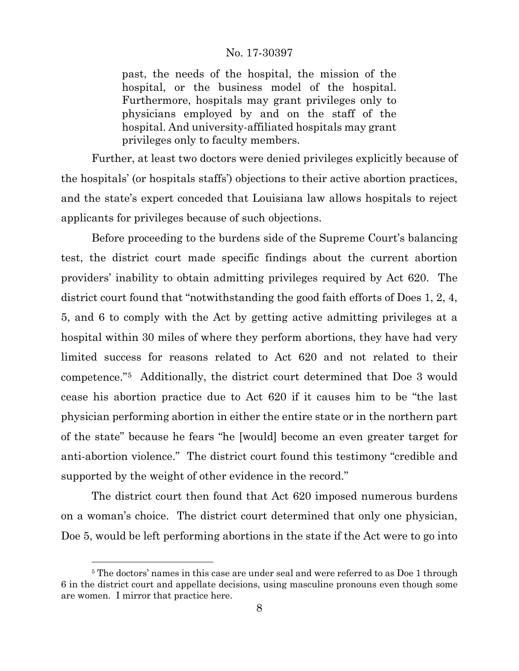past, the needs of the hospital, the mission of the hospital, or the business model of the hospital. Furthermore, hospitals may grant privileges only to physicians employed by and on the staff of the hospital. And university-affiliated hospitals may grant privileges only to faculty members.

Further, at least two doctors were denied privileges explicitly because of the hospitals' (or hospitals staffs') objections to their active abortion practices, and the state's expert conceded that Louisiana law allows hospitals to reject applicants for privileges because of such objections.

Before proceeding to the burdens side of the Supreme Court's balancing test, the district court made specific findings about the current abortion providers' inability to obtain admitting privileges required by Act 620. The district court found that "notwithstanding the good faith efforts of Does 1, 2, 4, 5, and 6 to comply with the Act by getting active admitting privileges at a hospital within 30 miles of where they perform abortions, they have had very limited success for reasons related to Act 620 and not related to their competence."[5](#page-7-0) Additionally, the district court determined that Doe 3 would cease his abortion practice due to Act 620 if it causes him to be "the last physician performing abortion in either the entire state or in the northern part of the state" because he fears "he [would] become an even greater target for anti-abortion violence." The district court found this testimony "credible and supported by the weight of other evidence in the record."

The district court then found that Act 620 imposed numerous burdens on a woman's choice. The district court determined that only one physician, Doe 5, would be left performing abortions in the state if the Act were to go into

<span id="page-7-0"></span><sup>&</sup>lt;sup>5</sup> The doctors' names in this case are under seal and were referred to as Doe 1 through 6 in the district court and appellate decisions, using masculine pronouns even though some are women. I mirror that practice here.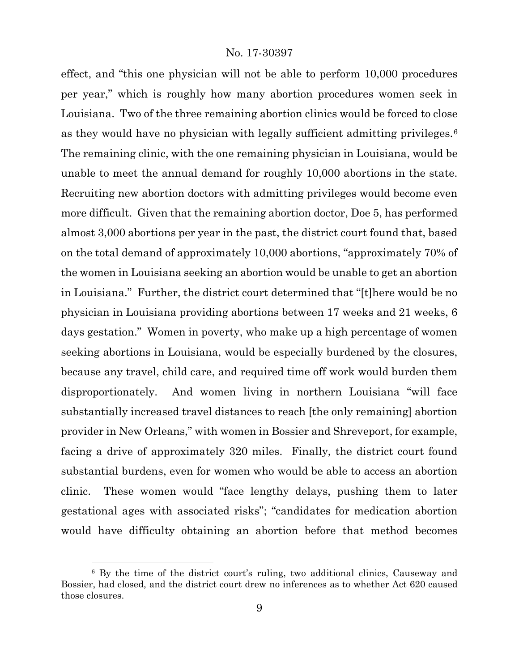effect, and "this one physician will not be able to perform 10,000 procedures per year," which is roughly how many abortion procedures women seek in Louisiana. Two of the three remaining abortion clinics would be forced to close as they would have no physician with legally sufficient admitting privileges.[6](#page-8-0) The remaining clinic, with the one remaining physician in Louisiana, would be unable to meet the annual demand for roughly 10,000 abortions in the state. Recruiting new abortion doctors with admitting privileges would become even more difficult. Given that the remaining abortion doctor, Doe 5, has performed almost 3,000 abortions per year in the past, the district court found that, based on the total demand of approximately 10,000 abortions, "approximately 70% of the women in Louisiana seeking an abortion would be unable to get an abortion in Louisiana." Further, the district court determined that "[t]here would be no physician in Louisiana providing abortions between 17 weeks and 21 weeks, 6 days gestation." Women in poverty, who make up a high percentage of women seeking abortions in Louisiana, would be especially burdened by the closures, because any travel, child care, and required time off work would burden them disproportionately. And women living in northern Louisiana "will face substantially increased travel distances to reach [the only remaining] abortion provider in New Orleans," with women in Bossier and Shreveport, for example, facing a drive of approximately 320 miles. Finally, the district court found substantial burdens, even for women who would be able to access an abortion clinic. These women would "face lengthy delays, pushing them to later gestational ages with associated risks"; "candidates for medication abortion would have difficulty obtaining an abortion before that method becomes

<span id="page-8-0"></span><sup>6</sup> By the time of the district court's ruling, two additional clinics, Causeway and Bossier, had closed, and the district court drew no inferences as to whether Act 620 caused those closures.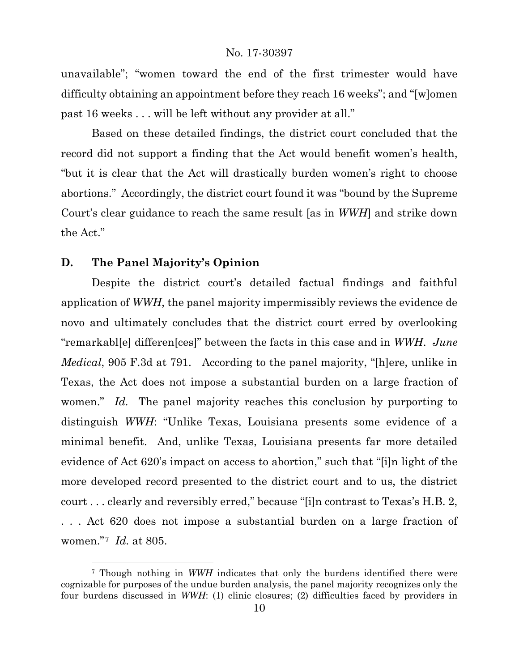unavailable"; "women toward the end of the first trimester would have difficulty obtaining an appointment before they reach 16 weeks"; and "[w]omen past 16 weeks . . . will be left without any provider at all."

Based on these detailed findings, the district court concluded that the record did not support a finding that the Act would benefit women's health, "but it is clear that the Act will drastically burden women's right to choose abortions." Accordingly, the district court found it was "bound by the Supreme Court's clear guidance to reach the same result [as in *WWH*] and strike down the Act."

## **D. The Panel Majority's Opinion**

 $\overline{a}$ 

Despite the district court's detailed factual findings and faithful application of *WWH*, the panel majority impermissibly reviews the evidence de novo and ultimately concludes that the district court erred by overlooking "remarkabl[e] differen[ces]" between the facts in this case and in *WWH*. *June Medical*, 905 F.3d at 791. According to the panel majority, "[h]ere, unlike in Texas, the Act does not impose a substantial burden on a large fraction of women." *Id.* The panel majority reaches this conclusion by purporting to distinguish *WWH*: "Unlike Texas, Louisiana presents some evidence of a minimal benefit. And, unlike Texas, Louisiana presents far more detailed evidence of Act 620's impact on access to abortion," such that "[i]n light of the more developed record presented to the district court and to us, the district court . . . clearly and reversibly erred," because "[i]n contrast to Texas's H.B. 2, . . . Act 620 does not impose a substantial burden on a large fraction of women."[7](#page-9-0) *Id.* at 805.

<span id="page-9-0"></span><sup>7</sup> Though nothing in *WWH* indicates that only the burdens identified there were cognizable for purposes of the undue burden analysis, the panel majority recognizes only the four burdens discussed in *WWH*: (1) clinic closures; (2) difficulties faced by providers in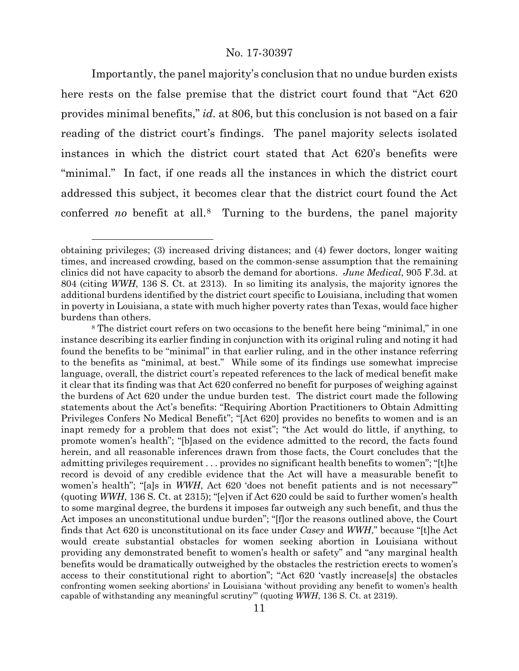Importantly, the panel majority's conclusion that no undue burden exists here rests on the false premise that the district court found that "Act 620 provides minimal benefits," *id.* at 806, but this conclusion is not based on a fair reading of the district court's findings. The panel majority selects isolated instances in which the district court stated that Act 620's benefits were "minimal." In fact, if one reads all the instances in which the district court addressed this subject, it becomes clear that the district court found the Act conferred *no* benefit at all.[8](#page-10-0) Turning to the burdens, the panel majority

obtaining privileges; (3) increased driving distances; and (4) fewer doctors, longer waiting times, and increased crowding, based on the common-sense assumption that the remaining clinics did not have capacity to absorb the demand for abortions. *June Medical*, 905 F.3d. at 804 (citing *WWH*, 136 S. Ct. at 2313). In so limiting its analysis, the majority ignores the additional burdens identified by the district court specific to Louisiana, including that women in poverty in Louisiana, a state with much higher poverty rates than Texas, would face higher burdens than others.

<span id="page-10-0"></span><sup>&</sup>lt;sup>8</sup> The district court refers on two occasions to the benefit here being "minimal," in one instance describing its earlier finding in conjunction with its original ruling and noting it had found the benefits to be "minimal" in that earlier ruling, and in the other instance referring to the benefits as "minimal, at best." While some of its findings use somewhat imprecise language, overall, the district court's repeated references to the lack of medical benefit make it clear that its finding was that Act 620 conferred no benefit for purposes of weighing against the burdens of Act 620 under the undue burden test. The district court made the following statements about the Act's benefits: "Requiring Abortion Practitioners to Obtain Admitting Privileges Confers No Medical Benefit"; "[Act 620] provides no benefits to women and is an inapt remedy for a problem that does not exist"; "the Act would do little, if anything, to promote women's health"; "[b]ased on the evidence admitted to the record, the facts found herein, and all reasonable inferences drawn from those facts, the Court concludes that the admitting privileges requirement . . . provides no significant health benefits to women"; "[t]he record is devoid of any credible evidence that the Act will have a measurable benefit to women's health"; "[a]s in *WWH*, Act 620 'does not benefit patients and is not necessary'" (quoting *WWH*, 136 S. Ct. at 2315); "[e]ven if Act 620 could be said to further women's health to some marginal degree, the burdens it imposes far outweigh any such benefit, and thus the Act imposes an unconstitutional undue burden"; "[f]or the reasons outlined above, the Court finds that Act 620 is unconstitutional on its face under *Casey* and *WWH*," because "[t]he Act would create substantial obstacles for women seeking abortion in Louisiana without providing any demonstrated benefit to women's health or safety" and "any marginal health benefits would be dramatically outweighed by the obstacles the restriction erects to women's access to their constitutional right to abortion"; "Act 620 'vastly increase[s] the obstacles confronting women seeking abortions' in Louisiana 'without providing any benefit to women's health capable of withstanding any meaningful scrutiny'" (quoting *WWH*, 136 S. Ct. at 2319).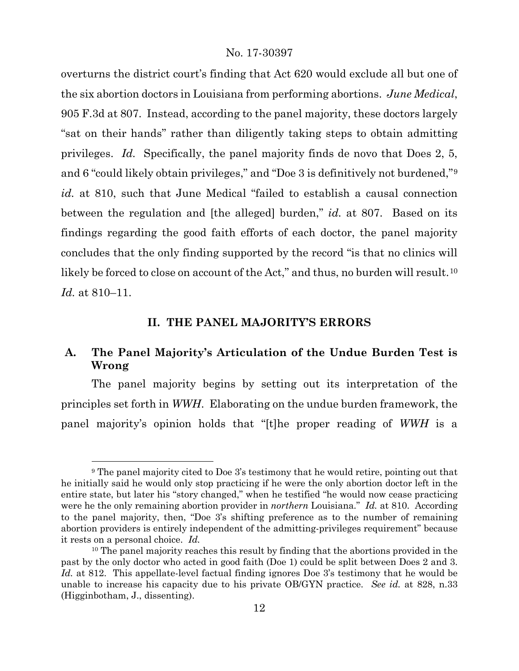overturns the district court's finding that Act 620 would exclude all but one of the six abortion doctors in Louisiana from performing abortions. *June Medical*, 905 F.3d at 807. Instead, according to the panel majority, these doctors largely "sat on their hands" rather than diligently taking steps to obtain admitting privileges. *Id.* Specifically, the panel majority finds de novo that Does 2, 5, and 6 "could likely obtain privileges," and "Doe 3 is definitively not burdened,"[9](#page-11-0) *id.* at 810, such that June Medical "failed to establish a causal connection between the regulation and [the alleged] burden," *id.* at 807. Based on its findings regarding the good faith efforts of each doctor, the panel majority concludes that the only finding supported by the record "is that no clinics will likely be forced to close on account of the Act," and thus, no burden will result.<sup>[10](#page-11-1)</sup> *Id.* at 810–11.

## **II. THE PANEL MAJORITY'S ERRORS**

# **A. The Panel Majority's Articulation of the Undue Burden Test is Wrong**

The panel majority begins by setting out its interpretation of the principles set forth in *WWH*. Elaborating on the undue burden framework, the panel majority's opinion holds that "[t]he proper reading of *WWH* is a

<span id="page-11-0"></span><sup>9</sup> The panel majority cited to Doe 3's testimony that he would retire, pointing out that he initially said he would only stop practicing if he were the only abortion doctor left in the entire state, but later his "story changed," when he testified "he would now cease practicing were he the only remaining abortion provider in *northern* Louisiana." *Id.* at 810. According to the panel majority, then, "Doe 3's shifting preference as to the number of remaining abortion providers is entirely independent of the admitting-privileges requirement" because it rests on a personal choice. *Id.*

<span id="page-11-1"></span><sup>&</sup>lt;sup>10</sup> The panel majority reaches this result by finding that the abortions provided in the past by the only doctor who acted in good faith (Doe 1) could be split between Does 2 and 3. Id. at 812. This appellate-level factual finding ignores Doe 3's testimony that he would be unable to increase his capacity due to his private OB/GYN practice. *See id.* at 828, n.33 (Higginbotham, J., dissenting).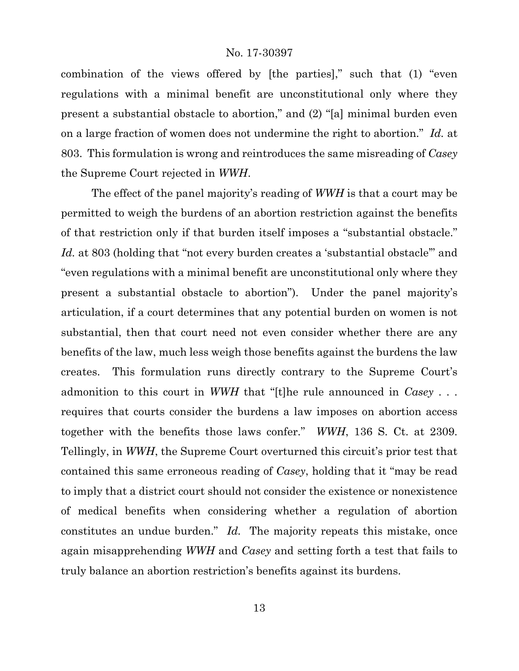combination of the views offered by [the parties]," such that (1) "even regulations with a minimal benefit are unconstitutional only where they present a substantial obstacle to abortion," and (2) "[a] minimal burden even on a large fraction of women does not undermine the right to abortion." *Id.* at 803. This formulation is wrong and reintroduces the same misreading of *Casey* the Supreme Court rejected in *WWH*.

The effect of the panel majority's reading of *WWH* is that a court may be permitted to weigh the burdens of an abortion restriction against the benefits of that restriction only if that burden itself imposes a "substantial obstacle." Id. at 803 (holding that "not every burden creates a 'substantial obstacle" and "even regulations with a minimal benefit are unconstitutional only where they present a substantial obstacle to abortion"). Under the panel majority's articulation, if a court determines that any potential burden on women is not substantial, then that court need not even consider whether there are any benefits of the law, much less weigh those benefits against the burdens the law creates. This formulation runs directly contrary to the Supreme Court's admonition to this court in *WWH* that "[t]he rule announced in *Casey* . . . requires that courts consider the burdens a law imposes on abortion access together with the benefits those laws confer." *WWH*, 136 S. Ct. at 2309. Tellingly, in *WWH*, the Supreme Court overturned this circuit's prior test that contained this same erroneous reading of *Casey*, holding that it "may be read to imply that a district court should not consider the existence or nonexistence of medical benefits when considering whether a regulation of abortion constitutes an undue burden." *Id.* The majority repeats this mistake, once again misapprehending *WWH* and *Casey* and setting forth a test that fails to truly balance an abortion restriction's benefits against its burdens.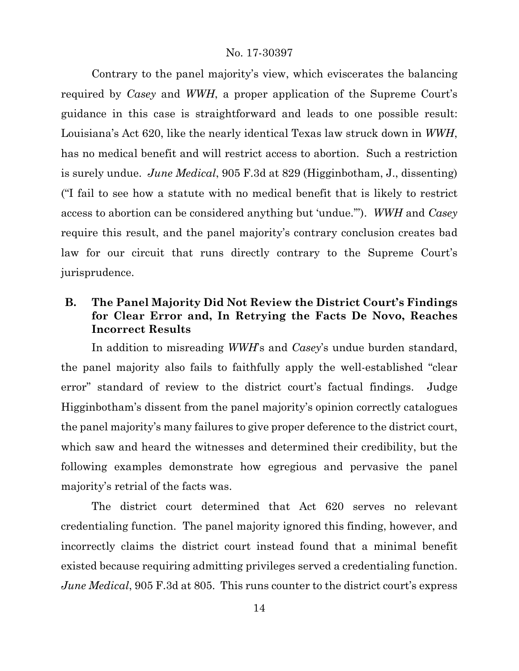Contrary to the panel majority's view, which eviscerates the balancing required by *Casey* and *WWH*, a proper application of the Supreme Court's guidance in this case is straightforward and leads to one possible result: Louisiana's Act 620, like the nearly identical Texas law struck down in *WWH*, has no medical benefit and will restrict access to abortion. Such a restriction is surely undue. *June Medical*, 905 F.3d at 829 (Higginbotham, J., dissenting) ("I fail to see how a statute with no medical benefit that is likely to restrict access to abortion can be considered anything but 'undue.'"). *WWH* and *Casey* require this result, and the panel majority's contrary conclusion creates bad law for our circuit that runs directly contrary to the Supreme Court's jurisprudence.

# **B. The Panel Majority Did Not Review the District Court's Findings for Clear Error and, In Retrying the Facts De Novo, Reaches Incorrect Results**

In addition to misreading *WWH*'s and *Casey*'s undue burden standard, the panel majority also fails to faithfully apply the well-established "clear error" standard of review to the district court's factual findings. Judge Higginbotham's dissent from the panel majority's opinion correctly catalogues the panel majority's many failures to give proper deference to the district court, which saw and heard the witnesses and determined their credibility, but the following examples demonstrate how egregious and pervasive the panel majority's retrial of the facts was.

The district court determined that Act 620 serves no relevant credentialing function. The panel majority ignored this finding, however, and incorrectly claims the district court instead found that a minimal benefit existed because requiring admitting privileges served a credentialing function. *June Medical*, 905 F.3d at 805. This runs counter to the district court's express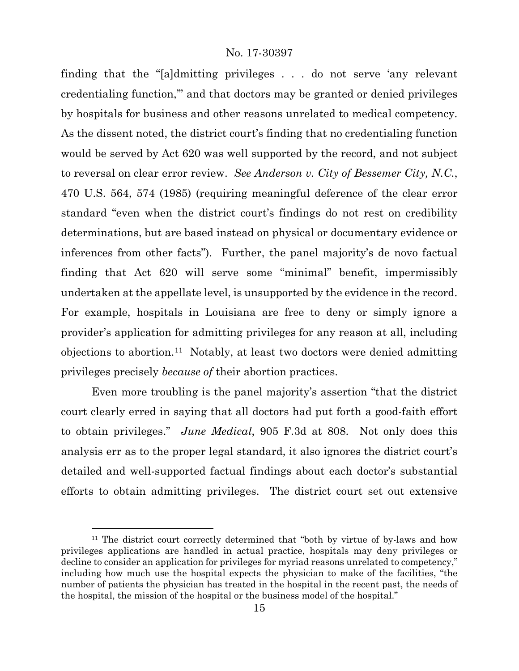finding that the "[a]dmitting privileges . . . do not serve 'any relevant credentialing function,'" and that doctors may be granted or denied privileges by hospitals for business and other reasons unrelated to medical competency. As the dissent noted, the district court's finding that no credentialing function would be served by Act 620 was well supported by the record, and not subject to reversal on clear error review. *See Anderson v. City of Bessemer City, N.C.*, 470 U.S. 564, 574 (1985) (requiring meaningful deference of the clear error standard "even when the district court's findings do not rest on credibility determinations, but are based instead on physical or documentary evidence or inferences from other facts"). Further, the panel majority's de novo factual finding that Act 620 will serve some "minimal" benefit, impermissibly undertaken at the appellate level, is unsupported by the evidence in the record. For example, hospitals in Louisiana are free to deny or simply ignore a provider's application for admitting privileges for any reason at all, including objections to abortion.<sup>11</sup> Notably, at least two doctors were denied admitting privileges precisely *because of* their abortion practices.

Even more troubling is the panel majority's assertion "that the district court clearly erred in saying that all doctors had put forth a good-faith effort to obtain privileges." *June Medical*, 905 F.3d at 808. Not only does this analysis err as to the proper legal standard, it also ignores the district court's detailed and well-supported factual findings about each doctor's substantial efforts to obtain admitting privileges. The district court set out extensive

<span id="page-14-0"></span><sup>&</sup>lt;sup>11</sup> The district court correctly determined that "both by virtue of by-laws and how privileges applications are handled in actual practice, hospitals may deny privileges or decline to consider an application for privileges for myriad reasons unrelated to competency," including how much use the hospital expects the physician to make of the facilities, "the number of patients the physician has treated in the hospital in the recent past, the needs of the hospital, the mission of the hospital or the business model of the hospital."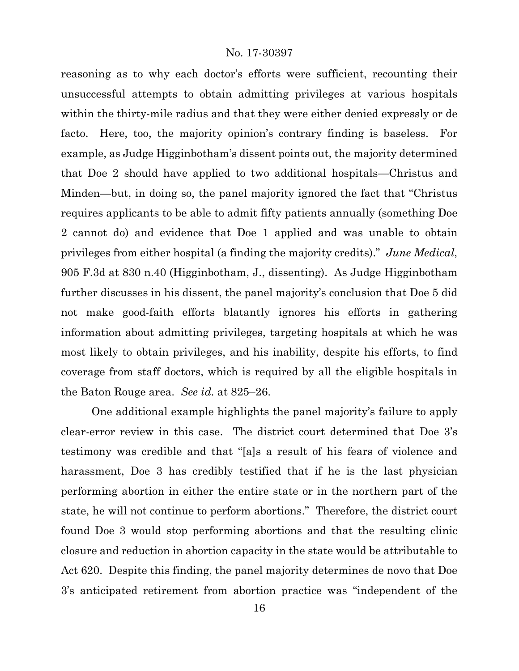reasoning as to why each doctor's efforts were sufficient, recounting their unsuccessful attempts to obtain admitting privileges at various hospitals within the thirty-mile radius and that they were either denied expressly or de facto. Here, too, the majority opinion's contrary finding is baseless. For example, as Judge Higginbotham's dissent points out, the majority determined that Doe 2 should have applied to two additional hospitals—Christus and Minden—but, in doing so, the panel majority ignored the fact that "Christus requires applicants to be able to admit fifty patients annually (something Doe 2 cannot do) and evidence that Doe 1 applied and was unable to obtain privileges from either hospital (a finding the majority credits)." *June Medical*, 905 F.3d at 830 n.40 (Higginbotham, J., dissenting). As Judge Higginbotham further discusses in his dissent, the panel majority's conclusion that Doe 5 did not make good-faith efforts blatantly ignores his efforts in gathering information about admitting privileges, targeting hospitals at which he was most likely to obtain privileges, and his inability, despite his efforts, to find coverage from staff doctors, which is required by all the eligible hospitals in the Baton Rouge area. *See id.* at 825–26.

One additional example highlights the panel majority's failure to apply clear-error review in this case. The district court determined that Doe 3's testimony was credible and that "[a]s a result of his fears of violence and harassment, Doe 3 has credibly testified that if he is the last physician performing abortion in either the entire state or in the northern part of the state, he will not continue to perform abortions." Therefore, the district court found Doe 3 would stop performing abortions and that the resulting clinic closure and reduction in abortion capacity in the state would be attributable to Act 620. Despite this finding, the panel majority determines de novo that Doe 3's anticipated retirement from abortion practice was "independent of the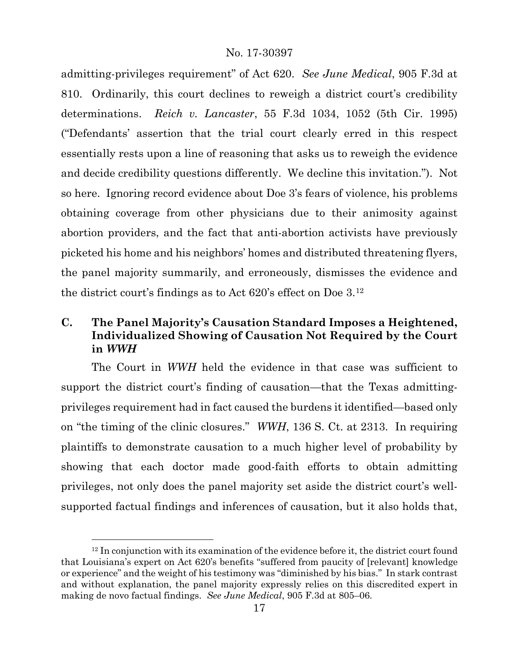admitting-privileges requirement" of Act 620. *See June Medical*, 905 F.3d at 810. Ordinarily, this court declines to reweigh a district court's credibility determinations. *Reich v. Lancaster*, 55 F.3d 1034, 1052 (5th Cir. 1995) ("Defendants' assertion that the trial court clearly erred in this respect essentially rests upon a line of reasoning that asks us to reweigh the evidence and decide credibility questions differently. We decline this invitation."). Not so here. Ignoring record evidence about Doe 3's fears of violence, his problems obtaining coverage from other physicians due to their animosity against abortion providers, and the fact that anti-abortion activists have previously picketed his home and his neighbors' homes and distributed threatening flyers, the panel majority summarily, and erroneously, dismisses the evidence and the district court's findings as to Act 620's effect on Doe 3.[12](#page-16-0)

# **C. The Panel Majority's Causation Standard Imposes a Heightened, Individualized Showing of Causation Not Required by the Court in** *WWH*

The Court in *WWH* held the evidence in that case was sufficient to support the district court's finding of causation—that the Texas admittingprivileges requirement had in fact caused the burdens it identified—based only on "the timing of the clinic closures." *WWH*, 136 S. Ct. at 2313. In requiring plaintiffs to demonstrate causation to a much higher level of probability by showing that each doctor made good-faith efforts to obtain admitting privileges, not only does the panel majority set aside the district court's wellsupported factual findings and inferences of causation, but it also holds that,

<span id="page-16-0"></span> $12$  In conjunction with its examination of the evidence before it, the district court found that Louisiana's expert on Act 620's benefits "suffered from paucity of [relevant] knowledge or experience" and the weight of his testimony was "diminished by his bias." In stark contrast and without explanation, the panel majority expressly relies on this discredited expert in making de novo factual findings. *See June Medical*, 905 F.3d at 805–06.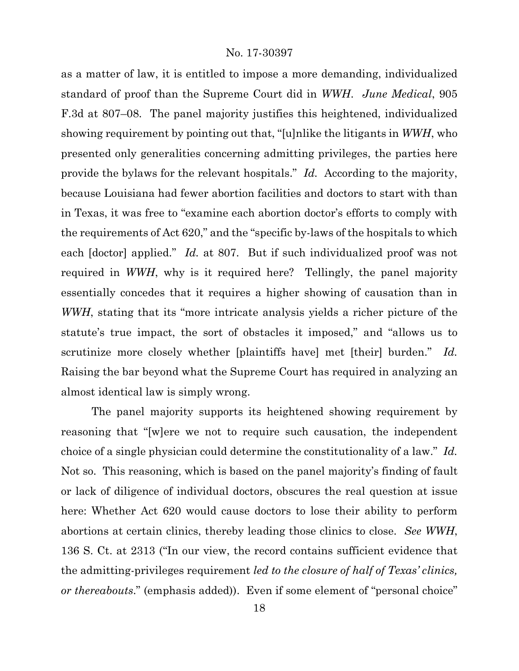as a matter of law, it is entitled to impose a more demanding, individualized standard of proof than the Supreme Court did in *WWH*. *June Medical*, 905 F.3d at 807–08. The panel majority justifies this heightened, individualized showing requirement by pointing out that, "[u]nlike the litigants in *WWH*, who presented only generalities concerning admitting privileges, the parties here provide the bylaws for the relevant hospitals." *Id.* According to the majority, because Louisiana had fewer abortion facilities and doctors to start with than in Texas, it was free to "examine each abortion doctor's efforts to comply with the requirements of Act 620," and the "specific by-laws of the hospitals to which each [doctor] applied." *Id.* at 807. But if such individualized proof was not required in *WWH*, why is it required here? Tellingly, the panel majority essentially concedes that it requires a higher showing of causation than in *WWH*, stating that its "more intricate analysis yields a richer picture of the statute's true impact, the sort of obstacles it imposed," and "allows us to scrutinize more closely whether [plaintiffs have] met [their] burden." *Id.* Raising the bar beyond what the Supreme Court has required in analyzing an almost identical law is simply wrong.

The panel majority supports its heightened showing requirement by reasoning that "[w]ere we not to require such causation, the independent choice of a single physician could determine the constitutionality of a law." *Id.*  Not so. This reasoning, which is based on the panel majority's finding of fault or lack of diligence of individual doctors, obscures the real question at issue here: Whether Act 620 would cause doctors to lose their ability to perform abortions at certain clinics, thereby leading those clinics to close. *See WWH*, 136 S. Ct. at 2313 ("In our view, the record contains sufficient evidence that the admitting-privileges requirement *led to the closure of half of Texas' clinics, or thereabouts*." (emphasis added)). Even if some element of "personal choice"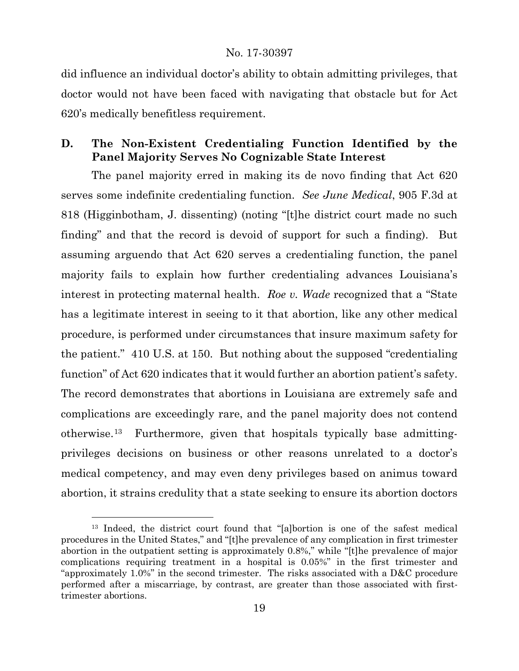did influence an individual doctor's ability to obtain admitting privileges, that doctor would not have been faced with navigating that obstacle but for Act 620's medically benefitless requirement.

# **D. The Non-Existent Credentialing Function Identified by the Panel Majority Serves No Cognizable State Interest**

The panel majority erred in making its de novo finding that Act 620 serves some indefinite credentialing function. *See June Medical*, 905 F.3d at 818 (Higginbotham, J. dissenting) (noting "[t]he district court made no such finding" and that the record is devoid of support for such a finding).But assuming arguendo that Act 620 serves a credentialing function, the panel majority fails to explain how further credentialing advances Louisiana's interest in protecting maternal health. *Roe v. Wade* recognized that a "State has a legitimate interest in seeing to it that abortion, like any other medical procedure, is performed under circumstances that insure maximum safety for the patient." 410 U.S. at 150. But nothing about the supposed "credentialing function" of Act 620 indicates that it would further an abortion patient's safety. The record demonstrates that abortions in Louisiana are extremely safe and complications are exceedingly rare, and the panel majority does not contend otherwise.[13](#page-18-0) Furthermore, given that hospitals typically base admittingprivileges decisions on business or other reasons unrelated to a doctor's medical competency, and may even deny privileges based on animus toward abortion, it strains credulity that a state seeking to ensure its abortion doctors

l

<span id="page-18-0"></span><sup>13</sup> Indeed, the district court found that "[a]bortion is one of the safest medical procedures in the United States," and "[t]he prevalence of any complication in first trimester abortion in the outpatient setting is approximately 0.8%," while "[t]he prevalence of major complications requiring treatment in a hospital is 0.05%" in the first trimester and "approximately 1.0%" in the second trimester. The risks associated with a D&C procedure performed after a miscarriage, by contrast, are greater than those associated with firsttrimester abortions.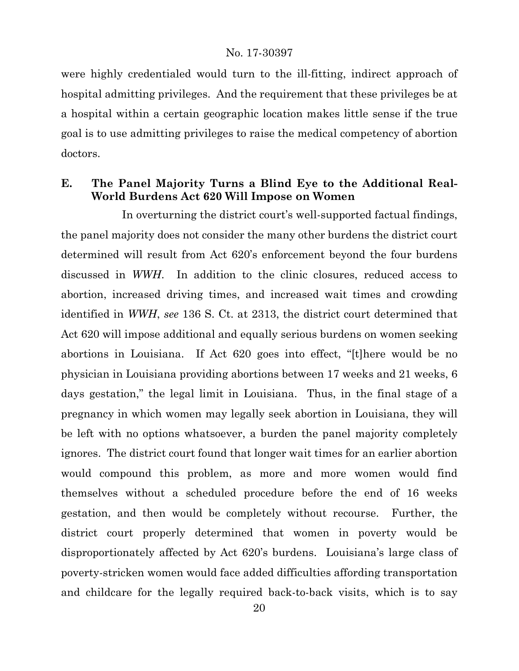were highly credentialed would turn to the ill-fitting, indirect approach of hospital admitting privileges. And the requirement that these privileges be at a hospital within a certain geographic location makes little sense if the true goal is to use admitting privileges to raise the medical competency of abortion doctors.

## **E. The Panel Majority Turns a Blind Eye to the Additional Real-World Burdens Act 620 Will Impose on Women**

In overturning the district court's well-supported factual findings, the panel majority does not consider the many other burdens the district court determined will result from Act 620's enforcement beyond the four burdens discussed in *WWH*. In addition to the clinic closures, reduced access to abortion, increased driving times, and increased wait times and crowding identified in *WWH*, *see* 136 S. Ct. at 2313, the district court determined that Act 620 will impose additional and equally serious burdens on women seeking abortions in Louisiana. If Act 620 goes into effect, "[t]here would be no physician in Louisiana providing abortions between 17 weeks and 21 weeks, 6 days gestation," the legal limit in Louisiana. Thus, in the final stage of a pregnancy in which women may legally seek abortion in Louisiana, they will be left with no options whatsoever, a burden the panel majority completely ignores. The district court found that longer wait times for an earlier abortion would compound this problem, as more and more women would find themselves without a scheduled procedure before the end of 16 weeks gestation, and then would be completely without recourse. Further, the district court properly determined that women in poverty would be disproportionately affected by Act 620's burdens. Louisiana's large class of poverty-stricken women would face added difficulties affording transportation and childcare for the legally required back-to-back visits, which is to say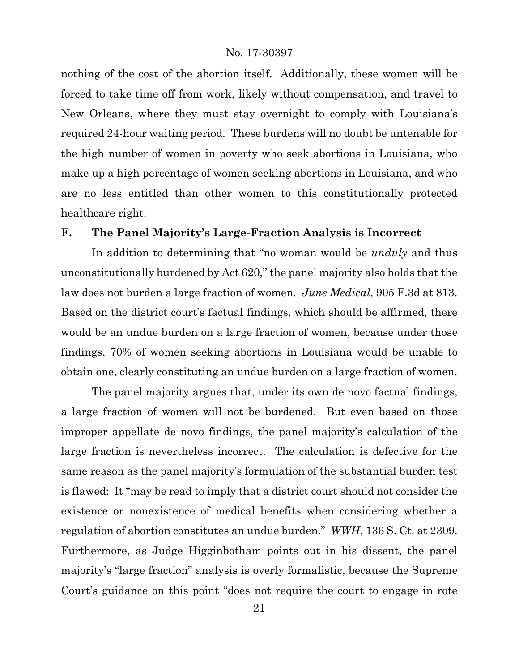nothing of the cost of the abortion itself. Additionally, these women will be forced to take time off from work, likely without compensation, and travel to New Orleans, where they must stay overnight to comply with Louisiana's required 24-hour waiting period. These burdens will no doubt be untenable for the high number of women in poverty who seek abortions in Louisiana, who make up a high percentage of women seeking abortions in Louisiana, and who are no less entitled than other women to this constitutionally protected healthcare right.

## **F. The Panel Majority's Large-Fraction Analysis is Incorrect**

In addition to determining that "no woman would be *unduly* and thus unconstitutionally burdened by Act 620," the panel majority also holds that the law does not burden a large fraction of women. *June Medical*, 905 F.3d at 813. Based on the district court's factual findings, which should be affirmed, there would be an undue burden on a large fraction of women, because under those findings, 70% of women seeking abortions in Louisiana would be unable to obtain one, clearly constituting an undue burden on a large fraction of women.

The panel majority argues that, under its own de novo factual findings, a large fraction of women will not be burdened. But even based on those improper appellate de novo findings, the panel majority's calculation of the large fraction is nevertheless incorrect. The calculation is defective for the same reason as the panel majority's formulation of the substantial burden test is flawed: It "may be read to imply that a district court should not consider the existence or nonexistence of medical benefits when considering whether a regulation of abortion constitutes an undue burden." *WWH*, 136 S. Ct. at 2309. Furthermore, as Judge Higginbotham points out in his dissent, the panel majority's "large fraction" analysis is overly formalistic, because the Supreme Court's guidance on this point "does not require the court to engage in rote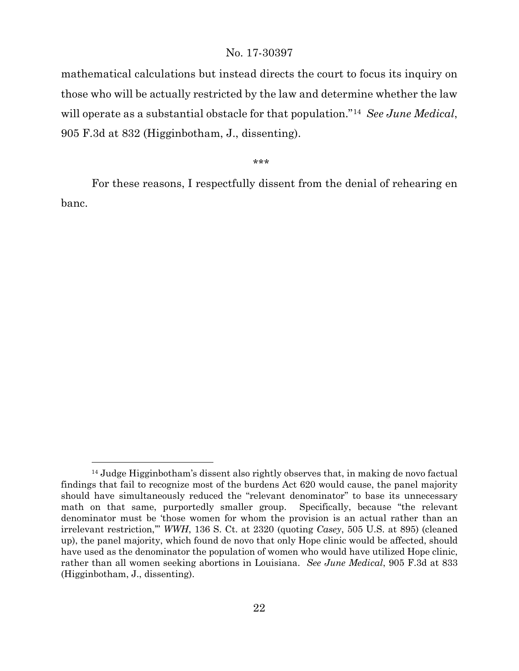mathematical calculations but instead directs the court to focus its inquiry on those who will be actually restricted by the law and determine whether the law will operate as a substantial obstacle for that population."[14](#page-21-0) *See June Medical*, 905 F.3d at 832 (Higginbotham, J., dissenting).

\*\*\*

For these reasons, I respectfully dissent from the denial of rehearing en banc.

l

<span id="page-21-0"></span><sup>14</sup> Judge Higginbotham's dissent also rightly observes that, in making de novo factual findings that fail to recognize most of the burdens Act 620 would cause, the panel majority should have simultaneously reduced the "relevant denominator" to base its unnecessary math on that same, purportedly smaller group. Specifically, because "the relevant denominator must be 'those women for whom the provision is an actual rather than an irrelevant restriction,'" *WWH*, 136 S. Ct. at 2320 (quoting *Casey*, 505 U.S. at 895) (cleaned up), the panel majority, which found de novo that only Hope clinic would be affected, should have used as the denominator the population of women who would have utilized Hope clinic, rather than all women seeking abortions in Louisiana. *See June Medical*, 905 F.3d at 833 (Higginbotham, J., dissenting).